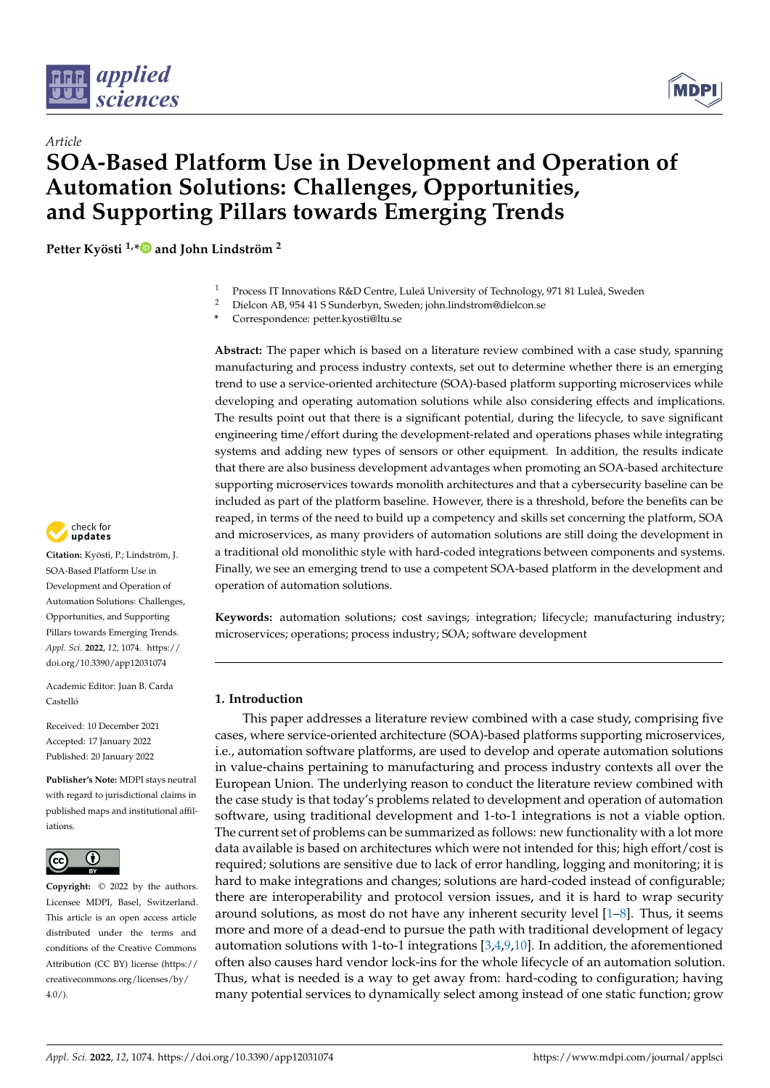



# *Article* **SOA-Based Platform Use in Development and Operation of Automation Solutions: Challenges, Opportunities, and Supporting Pillars towards Emerging Trends**

**Petter Kyösti 1,[\\*](https://orcid.org/0000-0001-5564-2295) and John Lindström <sup>2</sup>**

- <sup>1</sup> Process IT Innovations R&D Centre, Luleå University of Technology, 971 81 Luleå, Sweden<br><sup>2</sup> Dielsen AB 954 41 S Sunderbun, Sweden; john lindstrom@dielsen so
- <sup>2</sup> Dielcon AB, 954 41 S Sunderbyn, Sweden; john.lindstrom@dielcon.se
- **\*** Correspondence: petter.kyosti@ltu.se

Abstract: The paper which is based on a literature review combined with a case study, spanning manufacturing and process industry contexts, set out to determine whether there is an emerging trend to use a service-oriented architecture (SOA)-based platform supporting microservices while developing and operating automation solutions while also considering effects and implications. The results point out that there is a significant potential, during the lifecycle, to save significant engineering time/effort during the development-related and operations phases while integrating systems and adding new types of sensors or other equipment. In addition, the results indicate that there are also business development advantages when promoting an SOA-based architecture supporting microservices towards monolith architectures and that a cybersecurity baseline can be included as part of the platform baseline. However, there is a threshold, before the benefits can be reaped, in terms of the need to build up a competency and skills set concerning the platform, SOA and microservices, as many providers of automation solutions are still doing the development in a traditional old monolithic style with hard-coded integrations between components and systems. Finally, we see an emerging trend to use a competent SOA-based platform in the development and operation of automation solutions.

**Keywords:** automation solutions; cost savings; integration; lifecycle; manufacturing industry; microservices; operations; process industry; SOA; software development

## **1. Introduction**

This paper addresses a literature review combined with a case study, comprising five cases, where service-oriented architecture (SOA)-based platforms supporting microservices, i.e., automation software platforms, are used to develop and operate automation solutions in value-chains pertaining to manufacturing and process industry contexts all over the European Union. The underlying reason to conduct the literature review combined with the case study is that today's problems related to development and operation of automation software, using traditional development and 1-to-1 integrations is not a viable option. The current set of problems can be summarized as follows: new functionality with a lot more data available is based on architectures which were not intended for this; high effort/cost is required; solutions are sensitive due to lack of error handling, logging and monitoring; it is hard to make integrations and changes; solutions are hard-coded instead of configurable; there are interoperability and protocol version issues, and it is hard to wrap security around solutions, as most do not have any inherent security level  $[1-8]$  $[1-8]$ . Thus, it seems more and more of a dead-end to pursue the path with traditional development of legacy automation solutions with 1-to-1 integrations [\[3,](#page-15-2)[4,](#page-15-3)[9,](#page-15-4)[10\]](#page-15-5). In addition, the aforementioned often also causes hard vendor lock-ins for the whole lifecycle of an automation solution. Thus, what is needed is a way to get away from: hard-coding to configuration; having many potential services to dynamically select among instead of one static function; grow



**Citation:** Kyösti, P.; Lindström, J. SOA-Based Platform Use in Development and Operation of Automation Solutions: Challenges, Opportunities, and Supporting Pillars towards Emerging Trends. *Appl. Sci.* **2022**, *12*, 1074. [https://](https://doi.org/10.3390/app12031074) [doi.org/10.3390/app12031074](https://doi.org/10.3390/app12031074)

Academic Editor: Juan B. Carda Castelló

Received: 10 December 2021 Accepted: 17 January 2022 Published: 20 January 2022

**Publisher's Note:** MDPI stays neutral with regard to jurisdictional claims in published maps and institutional affiliations.



**Copyright:** © 2022 by the authors. Licensee MDPI, Basel, Switzerland. This article is an open access article distributed under the terms and conditions of the Creative Commons Attribution (CC BY) license [\(https://](https://creativecommons.org/licenses/by/4.0/) [creativecommons.org/licenses/by/](https://creativecommons.org/licenses/by/4.0/)  $4.0/$ ).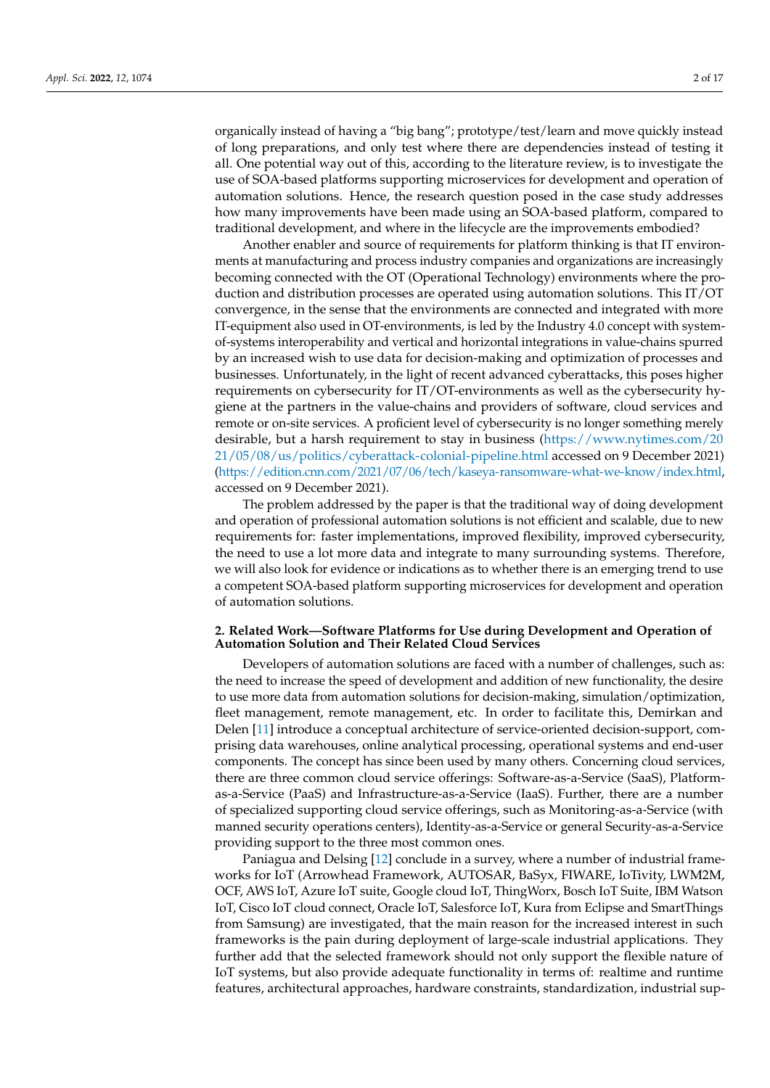organically instead of having a "big bang"; prototype/test/learn and move quickly instead of long preparations, and only test where there are dependencies instead of testing it all. One potential way out of this, according to the literature review, is to investigate the use of SOA-based platforms supporting microservices for development and operation of automation solutions. Hence, the research question posed in the case study addresses how many improvements have been made using an SOA-based platform, compared to traditional development, and where in the lifecycle are the improvements embodied?

Another enabler and source of requirements for platform thinking is that IT environments at manufacturing and process industry companies and organizations are increasingly becoming connected with the OT (Operational Technology) environments where the production and distribution processes are operated using automation solutions. This IT/OT convergence, in the sense that the environments are connected and integrated with more IT-equipment also used in OT-environments, is led by the Industry 4.0 concept with systemof-systems interoperability and vertical and horizontal integrations in value-chains spurred by an increased wish to use data for decision-making and optimization of processes and businesses. Unfortunately, in the light of recent advanced cyberattacks, this poses higher requirements on cybersecurity for IT/OT-environments as well as the cybersecurity hygiene at the partners in the value-chains and providers of software, cloud services and remote or on-site services. A proficient level of cybersecurity is no longer something merely desirable, but a harsh requirement to stay in business [\(https://www.nytimes.com/20](https://www.nytimes.com/2021/05/08/us/politics/cyberattack-colonial-pipeline.html) [21/05/08/us/politics/cyberattack-colonial-pipeline.html](https://www.nytimes.com/2021/05/08/us/politics/cyberattack-colonial-pipeline.html) accessed on 9 December 2021) [\(https://edition.cnn.com/2021/07/06/tech/kaseya-ransomware-what-we-know/index.html,](https://edition.cnn.com/2021/07/06/tech/kaseya-ransomware-what-we-know/index.html) accessed on 9 December 2021).

The problem addressed by the paper is that the traditional way of doing development and operation of professional automation solutions is not efficient and scalable, due to new requirements for: faster implementations, improved flexibility, improved cybersecurity, the need to use a lot more data and integrate to many surrounding systems. Therefore, we will also look for evidence or indications as to whether there is an emerging trend to use a competent SOA-based platform supporting microservices for development and operation of automation solutions.

## **2. Related Work—Software Platforms for Use during Development and Operation of Automation Solution and Their Related Cloud Services**

Developers of automation solutions are faced with a number of challenges, such as: the need to increase the speed of development and addition of new functionality, the desire to use more data from automation solutions for decision-making, simulation/optimization, fleet management, remote management, etc. In order to facilitate this, Demirkan and Delen [\[11\]](#page-15-6) introduce a conceptual architecture of service-oriented decision-support, comprising data warehouses, online analytical processing, operational systems and end-user components. The concept has since been used by many others. Concerning cloud services, there are three common cloud service offerings: Software-as-a-Service (SaaS), Platformas-a-Service (PaaS) and Infrastructure-as-a-Service (IaaS). Further, there are a number of specialized supporting cloud service offerings, such as Monitoring-as-a-Service (with manned security operations centers), Identity-as-a-Service or general Security-as-a-Service providing support to the three most common ones.

Paniagua and Delsing [\[12\]](#page-15-7) conclude in a survey, where a number of industrial frameworks for IoT (Arrowhead Framework, AUTOSAR, BaSyx, FIWARE, IoTivity, LWM2M, OCF, AWS IoT, Azure IoT suite, Google cloud IoT, ThingWorx, Bosch IoT Suite, IBM Watson IoT, Cisco IoT cloud connect, Oracle IoT, Salesforce IoT, Kura from Eclipse and SmartThings from Samsung) are investigated, that the main reason for the increased interest in such frameworks is the pain during deployment of large-scale industrial applications. They further add that the selected framework should not only support the flexible nature of IoT systems, but also provide adequate functionality in terms of: realtime and runtime features, architectural approaches, hardware constraints, standardization, industrial sup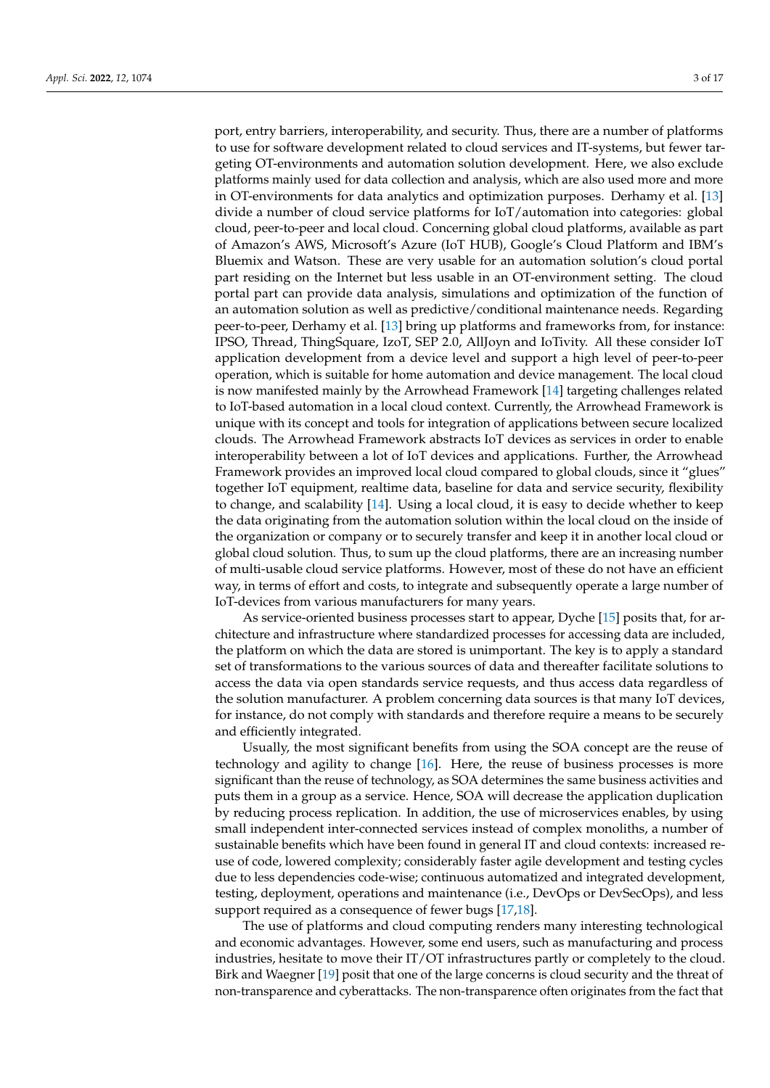port, entry barriers, interoperability, and security. Thus, there are a number of platforms to use for software development related to cloud services and IT-systems, but fewer targeting OT-environments and automation solution development. Here, we also exclude platforms mainly used for data collection and analysis, which are also used more and more in OT-environments for data analytics and optimization purposes. Derhamy et al. [\[13\]](#page-15-8) divide a number of cloud service platforms for IoT/automation into categories: global cloud, peer-to-peer and local cloud. Concerning global cloud platforms, available as part of Amazon's AWS, Microsoft's Azure (IoT HUB), Google's Cloud Platform and IBM's Bluemix and Watson. These are very usable for an automation solution's cloud portal part residing on the Internet but less usable in an OT-environment setting. The cloud portal part can provide data analysis, simulations and optimization of the function of an automation solution as well as predictive/conditional maintenance needs. Regarding peer-to-peer, Derhamy et al. [\[13\]](#page-15-8) bring up platforms and frameworks from, for instance: IPSO, Thread, ThingSquare, IzoT, SEP 2.0, AllJoyn and IoTivity. All these consider IoT application development from a device level and support a high level of peer-to-peer operation, which is suitable for home automation and device management. The local cloud is now manifested mainly by the Arrowhead Framework [\[14\]](#page-15-9) targeting challenges related to IoT-based automation in a local cloud context. Currently, the Arrowhead Framework is unique with its concept and tools for integration of applications between secure localized clouds. The Arrowhead Framework abstracts IoT devices as services in order to enable interoperability between a lot of IoT devices and applications. Further, the Arrowhead Framework provides an improved local cloud compared to global clouds, since it "glues" together IoT equipment, realtime data, baseline for data and service security, flexibility to change, and scalability [\[14\]](#page-15-9). Using a local cloud, it is easy to decide whether to keep the data originating from the automation solution within the local cloud on the inside of the organization or company or to securely transfer and keep it in another local cloud or global cloud solution. Thus, to sum up the cloud platforms, there are an increasing number of multi-usable cloud service platforms. However, most of these do not have an efficient way, in terms of effort and costs, to integrate and subsequently operate a large number of IoT-devices from various manufacturers for many years.

As service-oriented business processes start to appear, Dyche [\[15\]](#page-15-10) posits that, for architecture and infrastructure where standardized processes for accessing data are included, the platform on which the data are stored is unimportant. The key is to apply a standard set of transformations to the various sources of data and thereafter facilitate solutions to access the data via open standards service requests, and thus access data regardless of the solution manufacturer. A problem concerning data sources is that many IoT devices, for instance, do not comply with standards and therefore require a means to be securely and efficiently integrated.

Usually, the most significant benefits from using the SOA concept are the reuse of technology and agility to change [\[16\]](#page-15-11). Here, the reuse of business processes is more significant than the reuse of technology, as SOA determines the same business activities and puts them in a group as a service. Hence, SOA will decrease the application duplication by reducing process replication. In addition, the use of microservices enables, by using small independent inter-connected services instead of complex monoliths, a number of sustainable benefits which have been found in general IT and cloud contexts: increased reuse of code, lowered complexity; considerably faster agile development and testing cycles due to less dependencies code-wise; continuous automatized and integrated development, testing, deployment, operations and maintenance (i.e., DevOps or DevSecOps), and less support required as a consequence of fewer bugs [\[17](#page-15-12)[,18\]](#page-15-13).

The use of platforms and cloud computing renders many interesting technological and economic advantages. However, some end users, such as manufacturing and process industries, hesitate to move their IT/OT infrastructures partly or completely to the cloud. Birk and Waegner [\[19\]](#page-15-14) posit that one of the large concerns is cloud security and the threat of non-transparence and cyberattacks. The non-transparence often originates from the fact that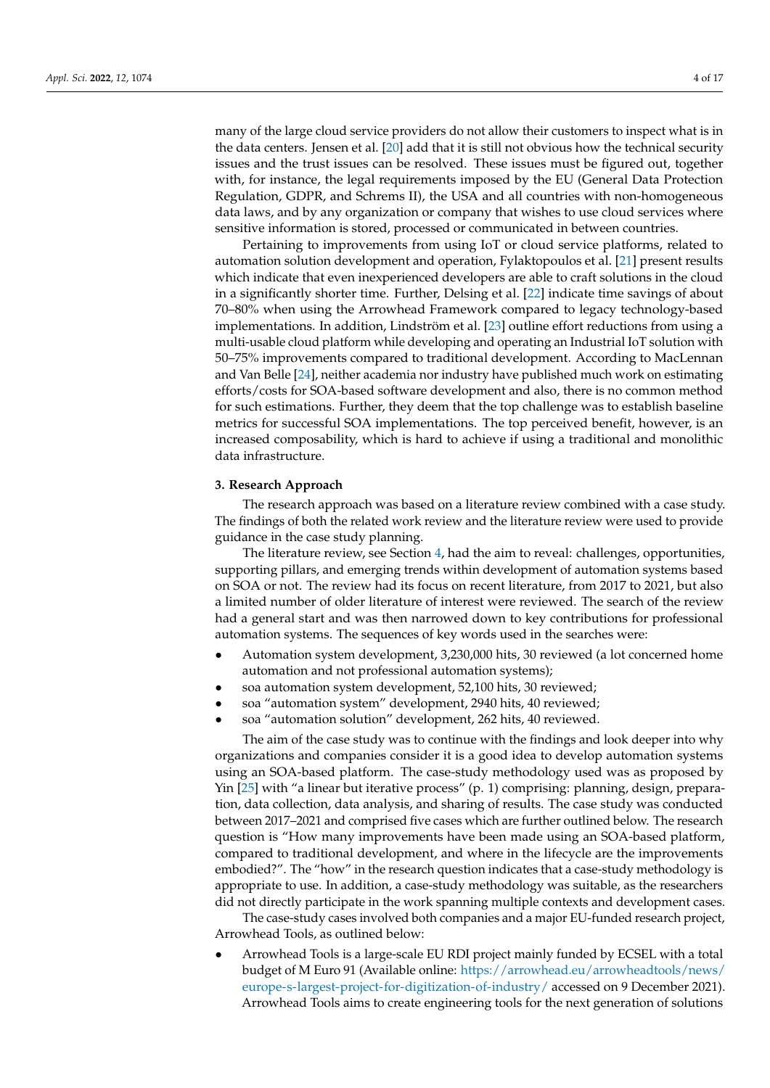many of the large cloud service providers do not allow their customers to inspect what is in the data centers. Jensen et al. [\[20\]](#page-15-15) add that it is still not obvious how the technical security issues and the trust issues can be resolved. These issues must be figured out, together with, for instance, the legal requirements imposed by the EU (General Data Protection Regulation, GDPR, and Schrems II), the USA and all countries with non-homogeneous data laws, and by any organization or company that wishes to use cloud services where sensitive information is stored, processed or communicated in between countries.

Pertaining to improvements from using IoT or cloud service platforms, related to automation solution development and operation, Fylaktopoulos et al. [\[21\]](#page-15-16) present results which indicate that even inexperienced developers are able to craft solutions in the cloud in a significantly shorter time. Further, Delsing et al. [\[22\]](#page-15-17) indicate time savings of about 70–80% when using the Arrowhead Framework compared to legacy technology-based implementations. In addition, Lindström et al. [\[23\]](#page-15-18) outline effort reductions from using a multi-usable cloud platform while developing and operating an Industrial IoT solution with 50–75% improvements compared to traditional development. According to MacLennan and Van Belle [\[24\]](#page-15-19), neither academia nor industry have published much work on estimating efforts/costs for SOA-based software development and also, there is no common method for such estimations. Further, they deem that the top challenge was to establish baseline metrics for successful SOA implementations. The top perceived benefit, however, is an increased composability, which is hard to achieve if using a traditional and monolithic data infrastructure.

#### **3. Research Approach**

The research approach was based on a literature review combined with a case study. The findings of both the related work review and the literature review were used to provide guidance in the case study planning.

The literature review, see Section [4,](#page-5-0) had the aim to reveal: challenges, opportunities, supporting pillars, and emerging trends within development of automation systems based on SOA or not. The review had its focus on recent literature, from 2017 to 2021, but also a limited number of older literature of interest were reviewed. The search of the review had a general start and was then narrowed down to key contributions for professional automation systems. The sequences of key words used in the searches were:

- Automation system development, 3,230,000 hits, 30 reviewed (a lot concerned home automation and not professional automation systems);
- soa automation system development, 52,100 hits, 30 reviewed;
- soa "automation system" development, 2940 hits, 40 reviewed;
- soa "automation solution" development, 262 hits, 40 reviewed.

The aim of the case study was to continue with the findings and look deeper into why organizations and companies consider it is a good idea to develop automation systems using an SOA-based platform. The case-study methodology used was as proposed by Yin [\[25\]](#page-16-0) with "a linear but iterative process" (p. 1) comprising: planning, design, preparation, data collection, data analysis, and sharing of results. The case study was conducted between 2017–2021 and comprised five cases which are further outlined below. The research question is "How many improvements have been made using an SOA-based platform, compared to traditional development, and where in the lifecycle are the improvements embodied?". The "how" in the research question indicates that a case-study methodology is appropriate to use. In addition, a case-study methodology was suitable, as the researchers did not directly participate in the work spanning multiple contexts and development cases.

The case-study cases involved both companies and a major EU-funded research project, Arrowhead Tools, as outlined below:

• Arrowhead Tools is a large-scale EU RDI project mainly funded by ECSEL with a total budget of M Euro 91 (Available online: [https://arrowhead.eu/arrowheadtools/news/](https://arrowhead.eu/arrowheadtools/news/europe-s-largest-project-for-digitization-of-industry/) [europe-s-largest-project-for-digitization-of-industry/](https://arrowhead.eu/arrowheadtools/news/europe-s-largest-project-for-digitization-of-industry/) accessed on 9 December 2021). Arrowhead Tools aims to create engineering tools for the next generation of solutions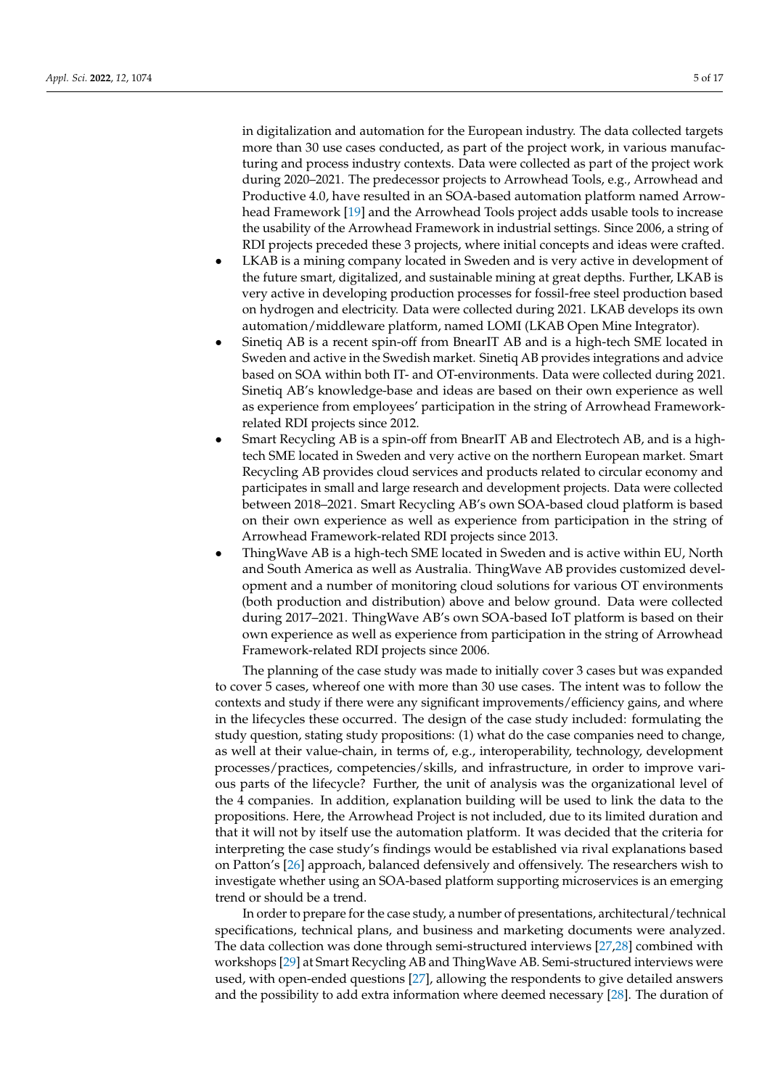in digitalization and automation for the European industry. The data collected targets more than 30 use cases conducted, as part of the project work, in various manufacturing and process industry contexts. Data were collected as part of the project work during 2020–2021. The predecessor projects to Arrowhead Tools, e.g., Arrowhead and Productive 4.0, have resulted in an SOA-based automation platform named Arrowhead Framework [\[19\]](#page-15-14) and the Arrowhead Tools project adds usable tools to increase the usability of the Arrowhead Framework in industrial settings. Since 2006, a string of RDI projects preceded these 3 projects, where initial concepts and ideas were crafted.

- LKAB is a mining company located in Sweden and is very active in development of the future smart, digitalized, and sustainable mining at great depths. Further, LKAB is very active in developing production processes for fossil-free steel production based on hydrogen and electricity. Data were collected during 2021. LKAB develops its own automation/middleware platform, named LOMI (LKAB Open Mine Integrator).
- Sinetiq AB is a recent spin-off from BnearIT AB and is a high-tech SME located in Sweden and active in the Swedish market. Sinetiq AB provides integrations and advice based on SOA within both IT- and OT-environments. Data were collected during 2021. Sinetiq AB's knowledge-base and ideas are based on their own experience as well as experience from employees' participation in the string of Arrowhead Frameworkrelated RDI projects since 2012.
- Smart Recycling AB is a spin-off from BnearIT AB and Electrotech AB, and is a hightech SME located in Sweden and very active on the northern European market. Smart Recycling AB provides cloud services and products related to circular economy and participates in small and large research and development projects. Data were collected between 2018–2021. Smart Recycling AB's own SOA-based cloud platform is based on their own experience as well as experience from participation in the string of Arrowhead Framework-related RDI projects since 2013.
- ThingWave AB is a high-tech SME located in Sweden and is active within EU, North and South America as well as Australia. ThingWave AB provides customized development and a number of monitoring cloud solutions for various OT environments (both production and distribution) above and below ground. Data were collected during 2017–2021. ThingWave AB's own SOA-based IoT platform is based on their own experience as well as experience from participation in the string of Arrowhead Framework-related RDI projects since 2006.

The planning of the case study was made to initially cover 3 cases but was expanded to cover 5 cases, whereof one with more than 30 use cases. The intent was to follow the contexts and study if there were any significant improvements/efficiency gains, and where in the lifecycles these occurred. The design of the case study included: formulating the study question, stating study propositions: (1) what do the case companies need to change, as well at their value-chain, in terms of, e.g., interoperability, technology, development processes/practices, competencies/skills, and infrastructure, in order to improve various parts of the lifecycle? Further, the unit of analysis was the organizational level of the 4 companies. In addition, explanation building will be used to link the data to the propositions. Here, the Arrowhead Project is not included, due to its limited duration and that it will not by itself use the automation platform. It was decided that the criteria for interpreting the case study's findings would be established via rival explanations based on Patton's [\[26\]](#page-16-1) approach, balanced defensively and offensively. The researchers wish to investigate whether using an SOA-based platform supporting microservices is an emerging trend or should be a trend.

In order to prepare for the case study, a number of presentations, architectural/technical specifications, technical plans, and business and marketing documents were analyzed. The data collection was done through semi-structured interviews [\[27](#page-16-2)[,28\]](#page-16-3) combined with workshops [\[29\]](#page-16-4) at Smart Recycling AB and ThingWave AB. Semi-structured interviews were used, with open-ended questions [\[27\]](#page-16-2), allowing the respondents to give detailed answers and the possibility to add extra information where deemed necessary [\[28\]](#page-16-3). The duration of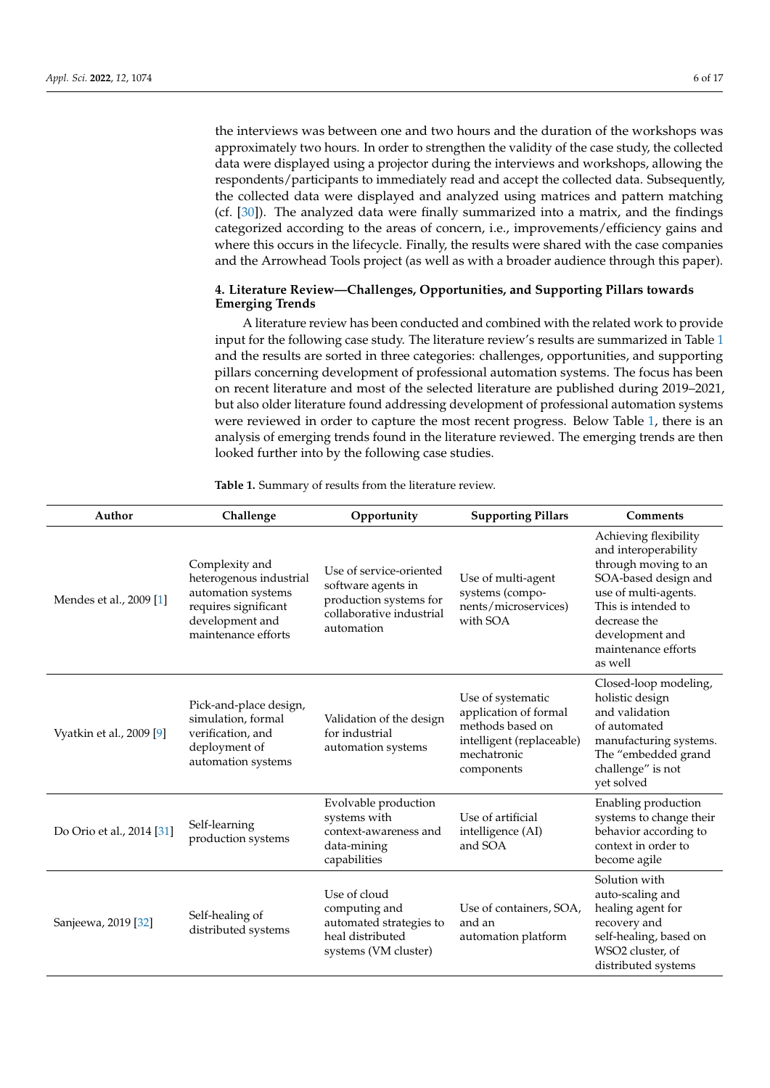the interviews was between one and two hours and the duration of the workshops was approximately two hours. In order to strengthen the validity of the case study, the collected data were displayed using a projector during the interviews and workshops, allowing the respondents/participants to immediately read and accept the collected data. Subsequently, the collected data were displayed and analyzed using matrices and pattern matching (cf. [\[30\]](#page-16-5)). The analyzed data were finally summarized into a matrix, and the findings categorized according to the areas of concern, i.e., improvements/efficiency gains and where this occurs in the lifecycle. Finally, the results were shared with the case companies and the Arrowhead Tools project (as well as with a broader audience through this paper).

## <span id="page-5-0"></span>**4. Literature Review—Challenges, Opportunities, and Supporting Pillars towards Emerging Trends**

A literature review has been conducted and combined with the related work to provide input for the following case study. The literature review's results are summarized in Table [1](#page-8-0) and the results are sorted in three categories: challenges, opportunities, and supporting pillars concerning development of professional automation systems. The focus has been on recent literature and most of the selected literature are published during 2019–2021, but also older literature found addressing development of professional automation systems were reviewed in order to capture the most recent progress. Below Table [1,](#page-8-0) there is an analysis of emerging trends found in the literature reviewed. The emerging trends are then looked further into by the following case studies.

| Author                    | Challenge                                                                                                                         | Opportunity                                                                                                       | <b>Supporting Pillars</b>                                                                                                | Comments                                                                                                                                                                                                          |
|---------------------------|-----------------------------------------------------------------------------------------------------------------------------------|-------------------------------------------------------------------------------------------------------------------|--------------------------------------------------------------------------------------------------------------------------|-------------------------------------------------------------------------------------------------------------------------------------------------------------------------------------------------------------------|
| Mendes et al., 2009 [1]   | Complexity and<br>heterogenous industrial<br>automation systems<br>requires significant<br>development and<br>maintenance efforts | Use of service-oriented<br>software agents in<br>production systems for<br>collaborative industrial<br>automation | Use of multi-agent<br>systems (compo-<br>nents/microservices)<br>with SOA                                                | Achieving flexibility<br>and interoperability<br>through moving to an<br>SOA-based design and<br>use of multi-agents.<br>This is intended to<br>decrease the<br>development and<br>maintenance efforts<br>as well |
| Vyatkin et al., 2009 [9]  | Pick-and-place design,<br>simulation, formal<br>verification, and<br>deployment of<br>automation systems                          | Validation of the design<br>for industrial<br>automation systems                                                  | Use of systematic<br>application of formal<br>methods based on<br>intelligent (replaceable)<br>mechatronic<br>components | Closed-loop modeling,<br>holistic design<br>and validation<br>of automated<br>manufacturing systems.<br>The "embedded grand<br>challenge" is not<br>yet solved                                                    |
| Do Orio et al., 2014 [31] | Self-learning<br>production systems                                                                                               | Evolvable production<br>systems with<br>context-awareness and<br>data-mining<br>capabilities                      | Use of artificial<br>intelligence (AI)<br>and SOA                                                                        |                                                                                                                                                                                                                   |
| Sanjeewa, 2019 [32]       | Self-healing of<br>distributed systems                                                                                            | Use of cloud<br>computing and<br>automated strategies to<br>heal distributed<br>systems (VM cluster)              | Use of containers, SOA,<br>and an<br>automation platform                                                                 | Solution with<br>auto-scaling and<br>healing agent for<br>recovery and<br>self-healing, based on<br>WSO2 cluster, of<br>distributed systems                                                                       |

**Table 1.** Summary of results from the literature review.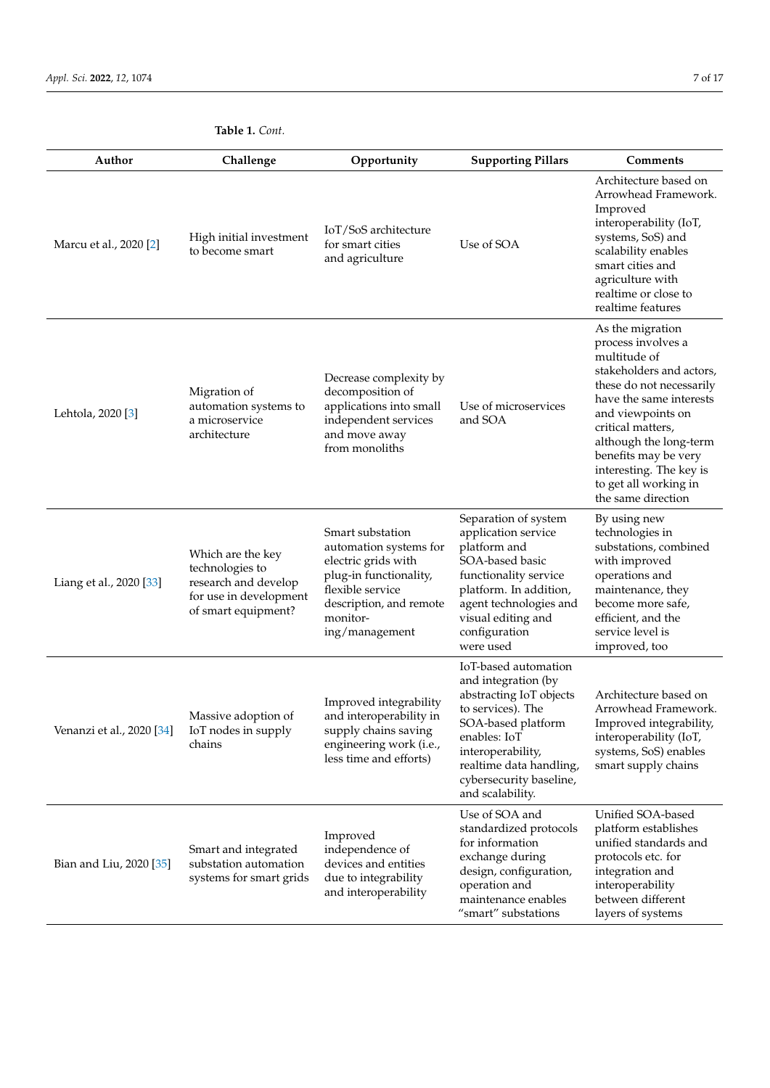| Author                    | Challenge<br>Opportunity                                                                                      |                                                                                                                                                                          | <b>Supporting Pillars</b>                                                                                                                                                                                                        | Comments                                                                                                                                                                                                                                                                                                        |  |
|---------------------------|---------------------------------------------------------------------------------------------------------------|--------------------------------------------------------------------------------------------------------------------------------------------------------------------------|----------------------------------------------------------------------------------------------------------------------------------------------------------------------------------------------------------------------------------|-----------------------------------------------------------------------------------------------------------------------------------------------------------------------------------------------------------------------------------------------------------------------------------------------------------------|--|
| Marcu et al., 2020 [2]    | High initial investment<br>to become smart                                                                    | IoT/SoS architecture<br>for smart cities<br>and agriculture                                                                                                              | Use of SOA                                                                                                                                                                                                                       | Architecture based on<br>Arrowhead Framework.<br>Improved<br>interoperability (IoT,<br>systems, SoS) and<br>scalability enables<br>smart cities and<br>agriculture with<br>realtime or close to<br>realtime features                                                                                            |  |
| Lehtola, 2020 [3]         | Migration of<br>automation systems to<br>a microservice<br>architecture                                       | Decrease complexity by<br>decomposition of<br>applications into small<br>independent services<br>and move away<br>from monoliths                                         | Use of microservices<br>and SOA                                                                                                                                                                                                  | As the migration<br>process involves a<br>multitude of<br>stakeholders and actors,<br>these do not necessarily<br>have the same interests<br>and viewpoints on<br>critical matters,<br>although the long-term<br>benefits may be very<br>interesting. The key is<br>to get all working in<br>the same direction |  |
| Liang et al., 2020 [33]   | Which are the key<br>technologies to<br>research and develop<br>for use in development<br>of smart equipment? | Smart substation<br>automation systems for<br>electric grids with<br>plug-in functionality,<br>flexible service<br>description, and remote<br>monitor-<br>ing/management | Separation of system<br>application service<br>platform and<br>SOA-based basic<br>functionality service<br>platform. In addition,<br>agent technologies and<br>visual editing and<br>configuration<br>were used                  | By using new<br>technologies in<br>substations, combined<br>with improved<br>operations and<br>maintenance, they<br>become more safe,<br>efficient, and the<br>service level is<br>improved, too                                                                                                                |  |
| Venanzi et al., 2020 [34] | Massive adoption of<br>IoT nodes in supply<br>chains                                                          | Improved integrability<br>and interoperability in<br>supply chains saving<br>engineering work (i.e.,<br>less time and efforts)                                           | IoT-based automation<br>and integration (by<br>abstracting IoT objects<br>to services). The<br>SOA-based platform<br>enables: IoT<br>interoperability,<br>realtime data handling,<br>cybersecurity baseline,<br>and scalability. | Architecture based on<br>Arrowhead Framework.<br>Improved integrability,<br>interoperability (IoT,<br>systems, SoS) enables<br>smart supply chains                                                                                                                                                              |  |
| Bian and Liu, 2020 [35]   | Smart and integrated<br>substation automation<br>systems for smart grids                                      | Improved<br>independence of<br>devices and entities<br>due to integrability<br>and interoperability                                                                      | Use of SOA and<br>standardized protocols<br>for information<br>exchange during<br>design, configuration,<br>operation and<br>maintenance enables<br>"smart" substations                                                          | Unified SOA-based<br>platform establishes<br>unified standards and<br>protocols etc. for<br>integration and<br>interoperability<br>between different<br>layers of systems                                                                                                                                       |  |

**Table 1.** *Cont.*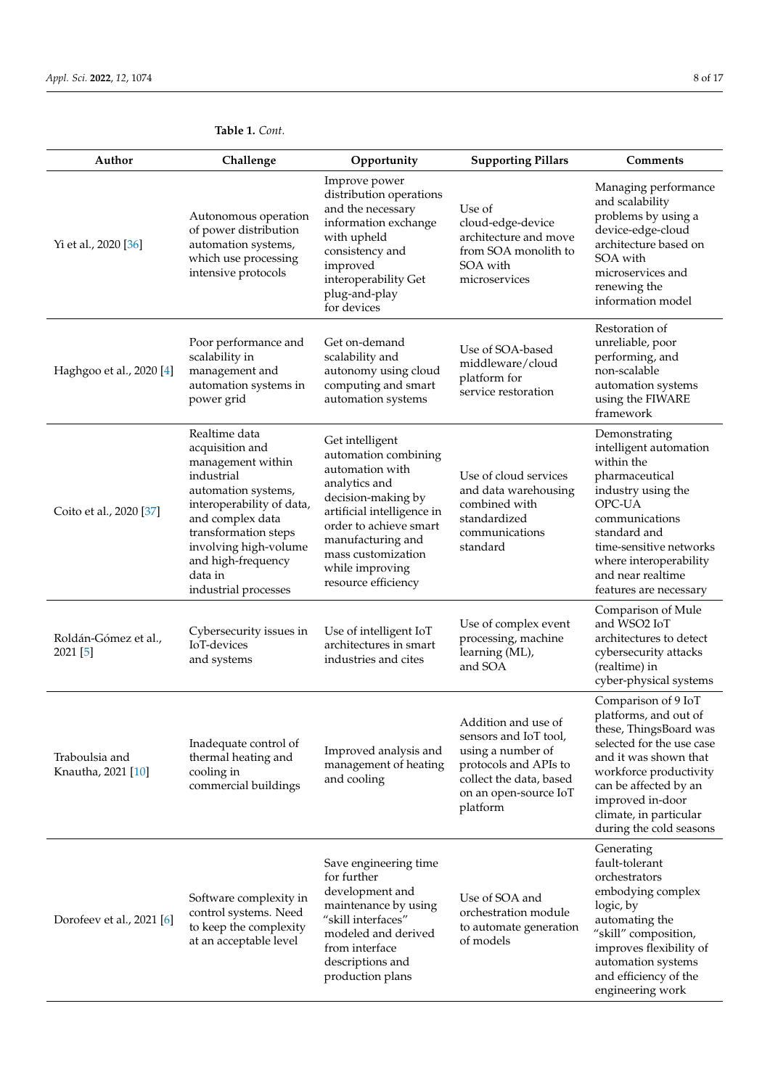| Author                               | Challenge                                                                                                                                                                                                                                             | Opportunity                                                                                                                                                                                                                                    | <b>Supporting Pillars</b>                                                                                                                                  | Comments                                                                                                                                                                                                                                                 |  |
|--------------------------------------|-------------------------------------------------------------------------------------------------------------------------------------------------------------------------------------------------------------------------------------------------------|------------------------------------------------------------------------------------------------------------------------------------------------------------------------------------------------------------------------------------------------|------------------------------------------------------------------------------------------------------------------------------------------------------------|----------------------------------------------------------------------------------------------------------------------------------------------------------------------------------------------------------------------------------------------------------|--|
| Yi et al., 2020 [36]                 | Autonomous operation<br>of power distribution<br>automation systems,<br>which use processing<br>intensive protocols                                                                                                                                   | Improve power<br>distribution operations<br>and the necessary<br>information exchange<br>with upheld<br>consistency and<br>improved<br>interoperability Get<br>plug-and-play<br>for devices                                                    | Use of<br>cloud-edge-device<br>architecture and move<br>from SOA monolith to<br>SOA with<br>microservices                                                  | Managing performance<br>and scalability<br>problems by using a<br>device-edge-cloud<br>architecture based on<br>SOA with<br>microservices and<br>renewing the<br>information model                                                                       |  |
| Haghgoo et al., 2020 [4]             | Poor performance and<br>scalability in<br>management and<br>automation systems in<br>power grid                                                                                                                                                       | Get on-demand<br>scalability and<br>autonomy using cloud<br>computing and smart<br>automation systems                                                                                                                                          | Use of SOA-based<br>middleware/cloud<br>platform for<br>service restoration                                                                                | Restoration of<br>unreliable, poor<br>performing, and<br>non-scalable<br>automation systems<br>using the FIWARE<br>framework                                                                                                                             |  |
| Coito et al., 2020 [37]              | Realtime data<br>acquisition and<br>management within<br>industrial<br>automation systems,<br>interoperability of data,<br>and complex data<br>transformation steps<br>involving high-volume<br>and high-frequency<br>data in<br>industrial processes | Get intelligent<br>automation combining<br>automation with<br>analytics and<br>decision-making by<br>artificial intelligence in<br>order to achieve smart<br>manufacturing and<br>mass customization<br>while improving<br>resource efficiency | Use of cloud services<br>and data warehousing<br>combined with<br>standardized<br>communications<br>standard                                               | Demonstrating<br>intelligent automation<br>within the<br>pharmaceutical<br>industry using the<br>OPC-UA<br>communications<br>standard and<br>time-sensitive networks<br>where interoperability<br>and near realtime<br>features are necessary            |  |
| Roldán-Gómez et al.,<br>2021 [5]     | Cybersecurity issues in<br>IoT-devices<br>and systems                                                                                                                                                                                                 | Use of complex event<br>Use of intelligent IoT<br>processing, machine<br>architectures in smart<br>learning (ML),<br>industries and cites<br>and SOA                                                                                           |                                                                                                                                                            | Comparison of Mule<br>and WSO2 IoT<br>architectures to detect<br>cybersecurity attacks<br>(realtime) in<br>cyber-physical systems                                                                                                                        |  |
| Traboulsia and<br>Knautha, 2021 [10] | Inadequate control of<br>thermal heating and<br>cooling in<br>commercial buildings                                                                                                                                                                    | Improved analysis and<br>management of heating<br>and cooling                                                                                                                                                                                  | Addition and use of<br>sensors and IoT tool,<br>using a number of<br>protocols and APIs to<br>collect the data, based<br>on an open-source IoT<br>platform | Comparison of 9 IoT<br>platforms, and out of<br>these, ThingsBoard was<br>selected for the use case<br>and it was shown that<br>workforce productivity<br>can be affected by an<br>improved in-door<br>climate, in particular<br>during the cold seasons |  |
| Dorofeev et al., 2021 [6]            | Software complexity in<br>control systems. Need<br>to keep the complexity<br>at an acceptable level                                                                                                                                                   | Save engineering time<br>for further<br>development and<br>maintenance by using<br>"skill interfaces"<br>modeled and derived<br>from interface<br>descriptions and<br>production plans                                                         | Use of SOA and<br>orchestration module<br>to automate generation<br>of models                                                                              | Generating<br>fault-tolerant<br>orchestrators<br>embodying complex<br>logic, by<br>automating the<br>"skill" composition,<br>improves flexibility of<br>automation systems<br>and efficiency of the<br>engineering work                                  |  |

# **Table 1.** *Cont.*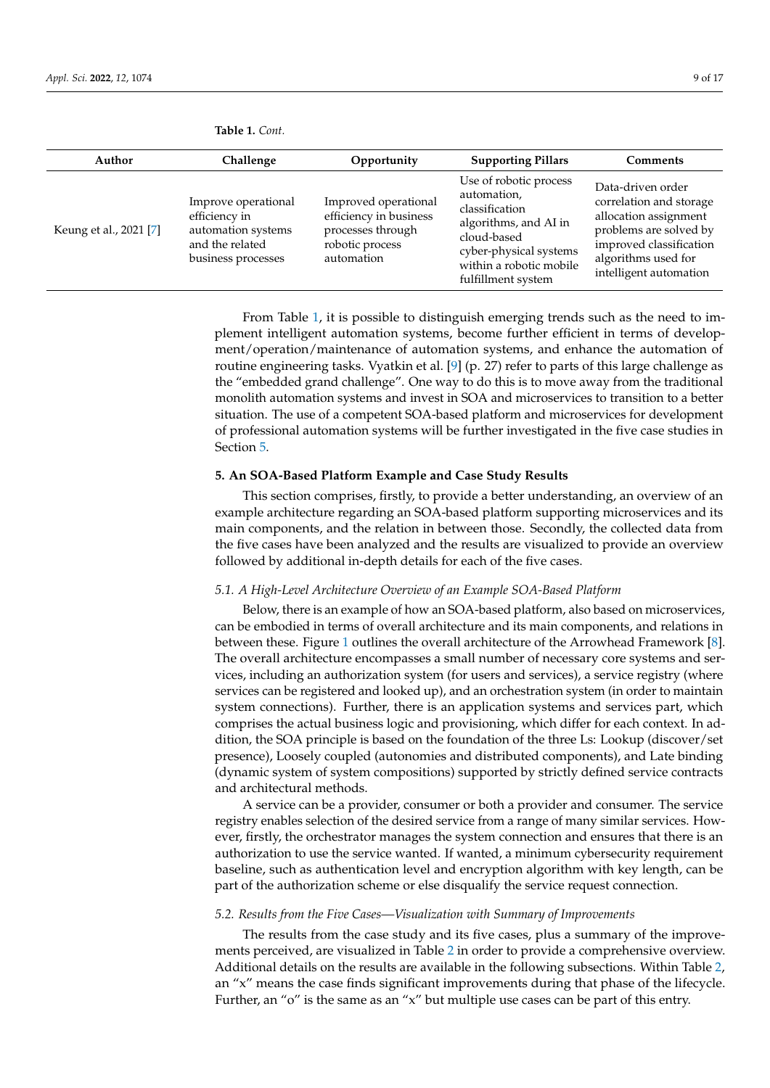| Author                 | Challenge                                                                                           | Opportunity                                                                                          | <b>Supporting Pillars</b>                                                                                                                                                  | <b>Comments</b>                                                                                                                                                             |
|------------------------|-----------------------------------------------------------------------------------------------------|------------------------------------------------------------------------------------------------------|----------------------------------------------------------------------------------------------------------------------------------------------------------------------------|-----------------------------------------------------------------------------------------------------------------------------------------------------------------------------|
| Keung et al., 2021 [7] | Improve operational<br>efficiency in<br>automation systems<br>and the related<br>business processes | Improved operational<br>efficiency in business<br>processes through<br>robotic process<br>automation | Use of robotic process<br>automation,<br>classification<br>algorithms, and AI in<br>cloud-based<br>cyber-physical systems<br>within a robotic mobile<br>fulfillment system | Data-driven order<br>correlation and storage<br>allocation assignment<br>problems are solved by<br>improved classification<br>algorithms used for<br>intelligent automation |

<span id="page-8-0"></span>**Table 1.** *Cont.*

From Table [1,](#page-8-0) it is possible to distinguish emerging trends such as the need to implement intelligent automation systems, become further efficient in terms of development/operation/maintenance of automation systems, and enhance the automation of routine engineering tasks. Vyatkin et al. [\[9\]](#page-15-4) (p. 27) refer to parts of this large challenge as the "embedded grand challenge". One way to do this is to move away from the traditional monolith automation systems and invest in SOA and microservices to transition to a better situation. The use of a competent SOA-based platform and microservices for development of professional automation systems will be further investigated in the five case studies in Section [5.](#page-8-1)

#### <span id="page-8-1"></span>**5. An SOA-Based Platform Example and Case Study Results**

This section comprises, firstly, to provide a better understanding, an overview of an example architecture regarding an SOA-based platform supporting microservices and its main components, and the relation in between those. Secondly, the collected data from the five cases have been analyzed and the results are visualized to provide an overview followed by additional in-depth details for each of the five cases.

#### *5.1. A High-Level Architecture Overview of an Example SOA-Based Platform*

Below, there is an example of how an SOA-based platform, also based on microservices, can be embodied in terms of overall architecture and its main components, and relations in between these. Figure [1](#page-9-0) outlines the overall architecture of the Arrowhead Framework [\[8\]](#page-15-1). The overall architecture encompasses a small number of necessary core systems and services, including an authorization system (for users and services), a service registry (where services can be registered and looked up), and an orchestration system (in order to maintain system connections). Further, there is an application systems and services part, which comprises the actual business logic and provisioning, which differ for each context. In addition, the SOA principle is based on the foundation of the three Ls: Lookup (discover/set presence), Loosely coupled (autonomies and distributed components), and Late binding (dynamic system of system compositions) supported by strictly defined service contracts and architectural methods.

A service can be a provider, consumer or both a provider and consumer. The service registry enables selection of the desired service from a range of many similar services. However, firstly, the orchestrator manages the system connection and ensures that there is an authorization to use the service wanted. If wanted, a minimum cybersecurity requirement baseline, such as authentication level and encryption algorithm with key length, can be part of the authorization scheme or else disqualify the service request connection.

#### *5.2. Results from the Five Cases—Visualization with Summary of Improvements*

The results from the case study and its five cases, plus a summary of the improvements perceived, are visualized in Table [2](#page-10-0) in order to provide a comprehensive overview. Additional details on the results are available in the following subsections. Within Table [2,](#page-10-0) an "x" means the case finds significant improvements during that phase of the lifecycle. Further, an "o" is the same as an "x" but multiple use cases can be part of this entry.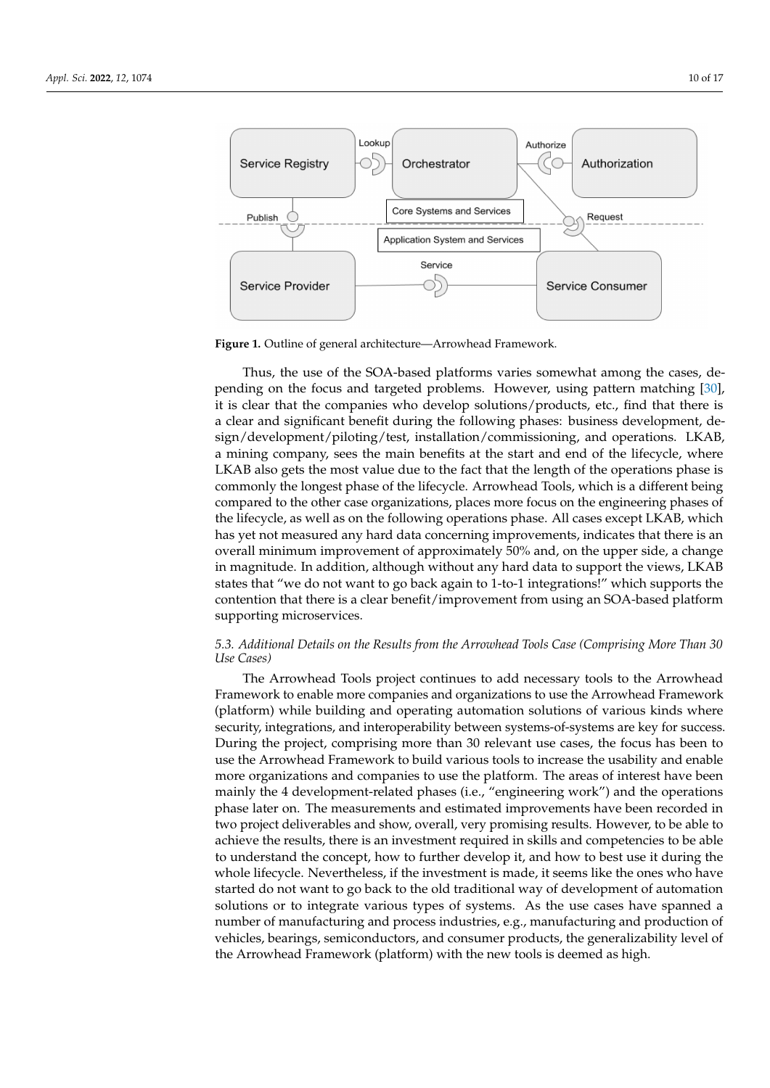<span id="page-9-0"></span>

**Figure 1.** Outline of general architecture—Arrowhead Framework.

Thus, the use of the SOA-based platforms varies somewhat among the cases, depending on the focus and targeted problems. However, using pattern matching [\[30\]](#page-16-5), it is clear that the companies who develop solutions/products, etc., find that there is a clear and significant benefit during the following phases: business development, design/development/piloting/test, installation/commissioning, and operations. LKAB, a mining company, sees the main benefits at the start and end of the lifecycle, where LKAB also gets the most value due to the fact that the length of the operations phase is commonly the longest phase of the lifecycle. Arrowhead Tools, which is a different being compared to the other case organizations, places more focus on the engineering phases of the lifecycle, as well as on the following operations phase. All cases except LKAB, which has yet not measured any hard data concerning improvements, indicates that there is an overall minimum improvement of approximately 50% and, on the upper side, a change in magnitude. In addition, although without any hard data to support the views, LKAB states that "we do not want to go back again to 1-to-1 integrations!" which supports the contention that there is a clear benefit/improvement from using an SOA-based platform supporting microservices.

## *5.3. Additional Details on the Results from the Arrowhead Tools Case (Comprising More Than 30 Use Cases)*

The Arrowhead Tools project continues to add necessary tools to the Arrowhead Framework to enable more companies and organizations to use the Arrowhead Framework (platform) while building and operating automation solutions of various kinds where security, integrations, and interoperability between systems-of-systems are key for success. During the project, comprising more than 30 relevant use cases, the focus has been to use the Arrowhead Framework to build various tools to increase the usability and enable more organizations and companies to use the platform. The areas of interest have been mainly the 4 development-related phases (i.e., "engineering work") and the operations phase later on. The measurements and estimated improvements have been recorded in two project deliverables and show, overall, very promising results. However, to be able to achieve the results, there is an investment required in skills and competencies to be able to understand the concept, how to further develop it, and how to best use it during the whole lifecycle. Nevertheless, if the investment is made, it seems like the ones who have started do not want to go back to the old traditional way of development of automation solutions or to integrate various types of systems. As the use cases have spanned a number of manufacturing and process industries, e.g., manufacturing and production of vehicles, bearings, semiconductors, and consumer products, the generalizability level of the Arrowhead Framework (platform) with the new tools is deemed as high.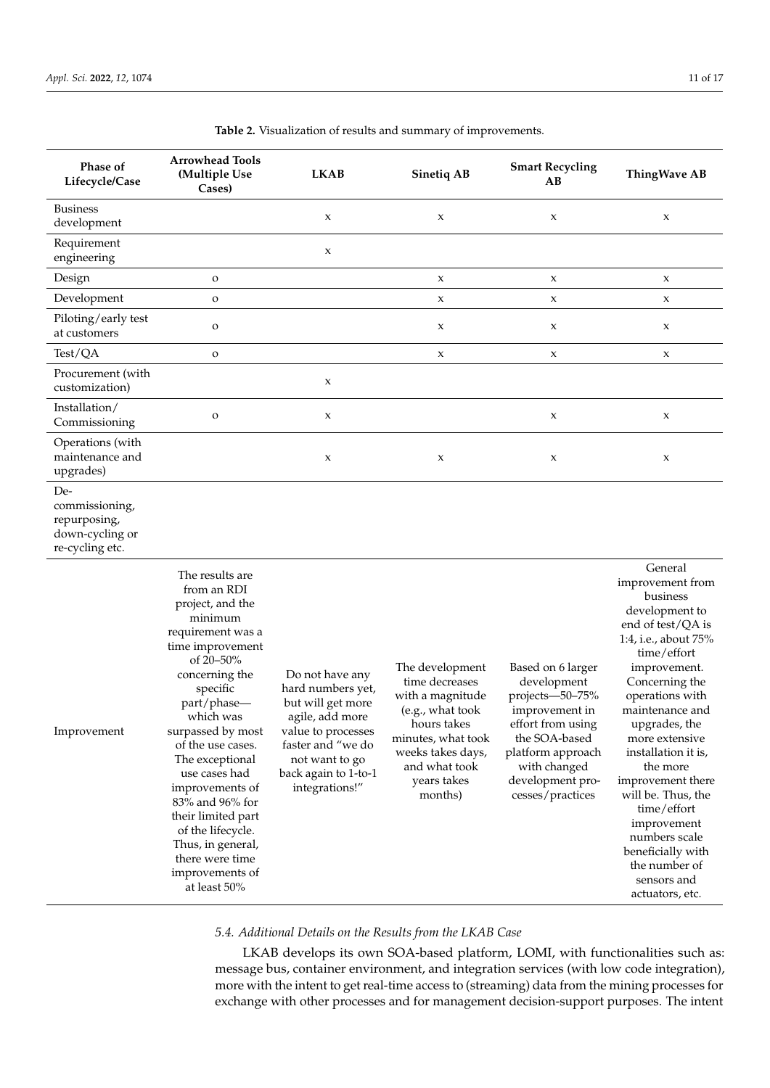| Phase of<br>Lifecycle/Case                                                  | <b>Arrowhead Tools</b><br>(Multiple Use<br>Cases)                                                                                                                                                                                                                                                                                                                                                                       | <b>LKAB</b>                                                                                                                                                                         | <b>Sinetiq AB</b>                                                                                                                                                              | <b>Smart Recycling</b><br>AВ                                                                                                                                                             | <b>ThingWave AB</b>                                                                                                                                                                                                                                                                                                                                                                                                                   |
|-----------------------------------------------------------------------------|-------------------------------------------------------------------------------------------------------------------------------------------------------------------------------------------------------------------------------------------------------------------------------------------------------------------------------------------------------------------------------------------------------------------------|-------------------------------------------------------------------------------------------------------------------------------------------------------------------------------------|--------------------------------------------------------------------------------------------------------------------------------------------------------------------------------|------------------------------------------------------------------------------------------------------------------------------------------------------------------------------------------|---------------------------------------------------------------------------------------------------------------------------------------------------------------------------------------------------------------------------------------------------------------------------------------------------------------------------------------------------------------------------------------------------------------------------------------|
| <b>Business</b><br>development                                              |                                                                                                                                                                                                                                                                                                                                                                                                                         | X                                                                                                                                                                                   | X                                                                                                                                                                              | X                                                                                                                                                                                        | $\mathbf x$                                                                                                                                                                                                                                                                                                                                                                                                                           |
| Requirement<br>engineering                                                  |                                                                                                                                                                                                                                                                                                                                                                                                                         | X                                                                                                                                                                                   |                                                                                                                                                                                |                                                                                                                                                                                          |                                                                                                                                                                                                                                                                                                                                                                                                                                       |
| Design                                                                      | $\mathbf O$                                                                                                                                                                                                                                                                                                                                                                                                             |                                                                                                                                                                                     | $\mathsf X$                                                                                                                                                                    | X                                                                                                                                                                                        | $\mathsf X$                                                                                                                                                                                                                                                                                                                                                                                                                           |
| Development                                                                 | $\mathbf O$                                                                                                                                                                                                                                                                                                                                                                                                             |                                                                                                                                                                                     | $\mathsf X$                                                                                                                                                                    | $\mathbf x$                                                                                                                                                                              | $\mathbf x$                                                                                                                                                                                                                                                                                                                                                                                                                           |
| Piloting/early test<br>at customers                                         | $\mathbf O$                                                                                                                                                                                                                                                                                                                                                                                                             |                                                                                                                                                                                     | $\mathsf X$                                                                                                                                                                    | X                                                                                                                                                                                        | X                                                                                                                                                                                                                                                                                                                                                                                                                                     |
| Test/QA                                                                     | $\mathbf O$                                                                                                                                                                                                                                                                                                                                                                                                             |                                                                                                                                                                                     | $\mathsf X$                                                                                                                                                                    | $\mathbf x$                                                                                                                                                                              | $\mathbf x$                                                                                                                                                                                                                                                                                                                                                                                                                           |
| Procurement (with<br>customization)                                         |                                                                                                                                                                                                                                                                                                                                                                                                                         | X                                                                                                                                                                                   |                                                                                                                                                                                |                                                                                                                                                                                          |                                                                                                                                                                                                                                                                                                                                                                                                                                       |
| Installation/<br>Commissioning                                              | $\mathbf O$                                                                                                                                                                                                                                                                                                                                                                                                             | X                                                                                                                                                                                   |                                                                                                                                                                                | $\mathbf x$                                                                                                                                                                              | $\mathbf x$                                                                                                                                                                                                                                                                                                                                                                                                                           |
| Operations (with<br>maintenance and<br>upgrades)                            |                                                                                                                                                                                                                                                                                                                                                                                                                         | $\mathsf X$                                                                                                                                                                         | $\mathsf X$                                                                                                                                                                    | X                                                                                                                                                                                        | X                                                                                                                                                                                                                                                                                                                                                                                                                                     |
| De-<br>commissioning,<br>repurposing,<br>down-cycling or<br>re-cycling etc. |                                                                                                                                                                                                                                                                                                                                                                                                                         |                                                                                                                                                                                     |                                                                                                                                                                                |                                                                                                                                                                                          |                                                                                                                                                                                                                                                                                                                                                                                                                                       |
| Improvement                                                                 | The results are<br>from an RDI<br>project, and the<br>minimum<br>requirement was a<br>time improvement<br>of 20-50%<br>concerning the<br>specific<br>part/phase-<br>which was<br>surpassed by most<br>of the use cases.<br>The exceptional<br>use cases had<br>improvements of<br>83% and 96% for<br>their limited part<br>of the lifecycle.<br>Thus, in general,<br>there were time<br>improvements of<br>at least 50% | Do not have any<br>hard numbers yet,<br>but will get more<br>agile, add more<br>value to processes<br>faster and "we do<br>not want to go<br>back again to 1-to-1<br>integrations!" | The development<br>time decreases<br>with a magnitude<br>(e.g., what took<br>hours takes<br>minutes, what took<br>weeks takes days,<br>and what took<br>years takes<br>months) | Based on 6 larger<br>development<br>projects-50-75%<br>improvement in<br>effort from using<br>the SOA-based<br>platform approach<br>with changed<br>development pro-<br>cesses/practices | General<br>improvement from<br>business<br>development to<br>end of test/QA is<br>1:4, i.e., about 75%<br>time/effort<br>improvement.<br>Concerning the<br>operations with<br>maintenance and<br>upgrades, the<br>more extensive<br>installation it is,<br>the more<br>improvement there<br>will be. Thus, the<br>time/effort<br>improvement<br>numbers scale<br>beneficially with<br>the number of<br>sensors and<br>actuators, etc. |

<span id="page-10-0"></span>**Table 2.** Visualization of results and summary of improvements.

## *5.4. Additional Details on the Results from the LKAB Case*

LKAB develops its own SOA-based platform, LOMI, with functionalities such as: message bus, container environment, and integration services (with low code integration), more with the intent to get real-time access to (streaming) data from the mining processes for exchange with other processes and for management decision-support purposes. The intent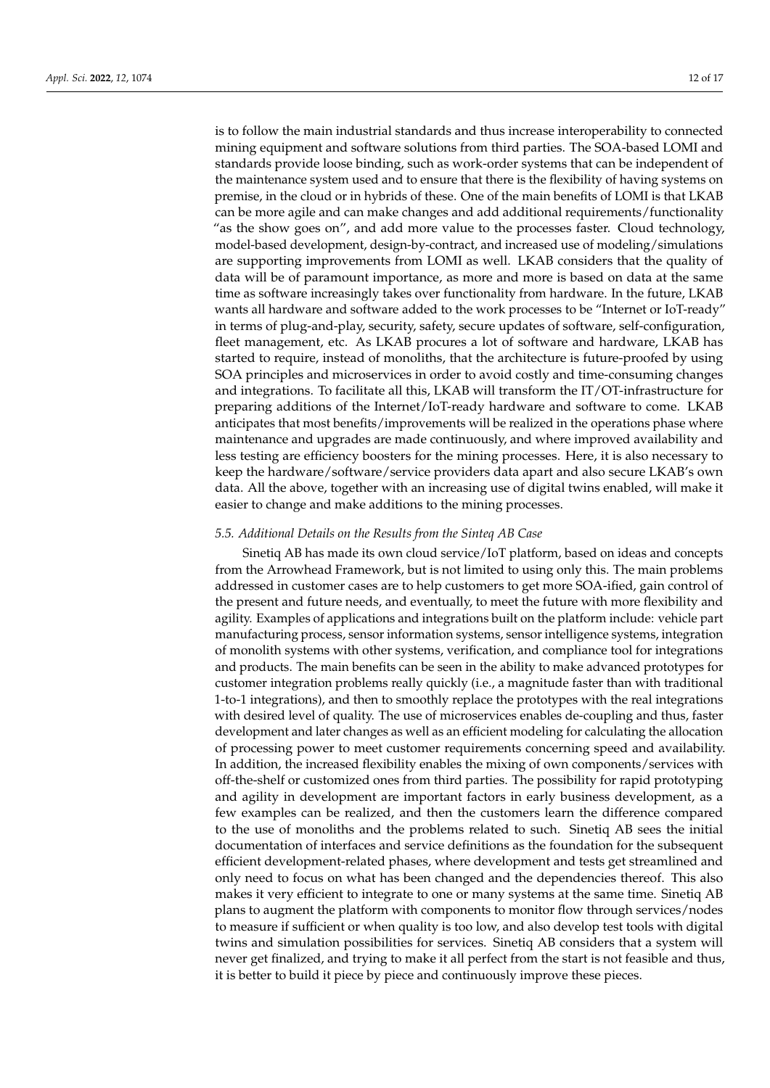is to follow the main industrial standards and thus increase interoperability to connected mining equipment and software solutions from third parties. The SOA-based LOMI and standards provide loose binding, such as work-order systems that can be independent of the maintenance system used and to ensure that there is the flexibility of having systems on premise, in the cloud or in hybrids of these. One of the main benefits of LOMI is that LKAB can be more agile and can make changes and add additional requirements/functionality "as the show goes on", and add more value to the processes faster. Cloud technology, model-based development, design-by-contract, and increased use of modeling/simulations are supporting improvements from LOMI as well. LKAB considers that the quality of data will be of paramount importance, as more and more is based on data at the same time as software increasingly takes over functionality from hardware. In the future, LKAB wants all hardware and software added to the work processes to be "Internet or IoT-ready" in terms of plug-and-play, security, safety, secure updates of software, self-configuration, fleet management, etc. As LKAB procures a lot of software and hardware, LKAB has started to require, instead of monoliths, that the architecture is future-proofed by using SOA principles and microservices in order to avoid costly and time-consuming changes and integrations. To facilitate all this, LKAB will transform the IT/OT-infrastructure for preparing additions of the Internet/IoT-ready hardware and software to come. LKAB anticipates that most benefits/improvements will be realized in the operations phase where maintenance and upgrades are made continuously, and where improved availability and less testing are efficiency boosters for the mining processes. Here, it is also necessary to keep the hardware/software/service providers data apart and also secure LKAB's own data. All the above, together with an increasing use of digital twins enabled, will make it easier to change and make additions to the mining processes.

#### *5.5. Additional Details on the Results from the Sinteq AB Case*

Sinetiq AB has made its own cloud service/IoT platform, based on ideas and concepts from the Arrowhead Framework, but is not limited to using only this. The main problems addressed in customer cases are to help customers to get more SOA-ified, gain control of the present and future needs, and eventually, to meet the future with more flexibility and agility. Examples of applications and integrations built on the platform include: vehicle part manufacturing process, sensor information systems, sensor intelligence systems, integration of monolith systems with other systems, verification, and compliance tool for integrations and products. The main benefits can be seen in the ability to make advanced prototypes for customer integration problems really quickly (i.e., a magnitude faster than with traditional 1-to-1 integrations), and then to smoothly replace the prototypes with the real integrations with desired level of quality. The use of microservices enables de-coupling and thus, faster development and later changes as well as an efficient modeling for calculating the allocation of processing power to meet customer requirements concerning speed and availability. In addition, the increased flexibility enables the mixing of own components/services with off-the-shelf or customized ones from third parties. The possibility for rapid prototyping and agility in development are important factors in early business development, as a few examples can be realized, and then the customers learn the difference compared to the use of monoliths and the problems related to such. Sinetiq AB sees the initial documentation of interfaces and service definitions as the foundation for the subsequent efficient development-related phases, where development and tests get streamlined and only need to focus on what has been changed and the dependencies thereof. This also makes it very efficient to integrate to one or many systems at the same time. Sinetiq AB plans to augment the platform with components to monitor flow through services/nodes to measure if sufficient or when quality is too low, and also develop test tools with digital twins and simulation possibilities for services. Sinetiq AB considers that a system will never get finalized, and trying to make it all perfect from the start is not feasible and thus, it is better to build it piece by piece and continuously improve these pieces.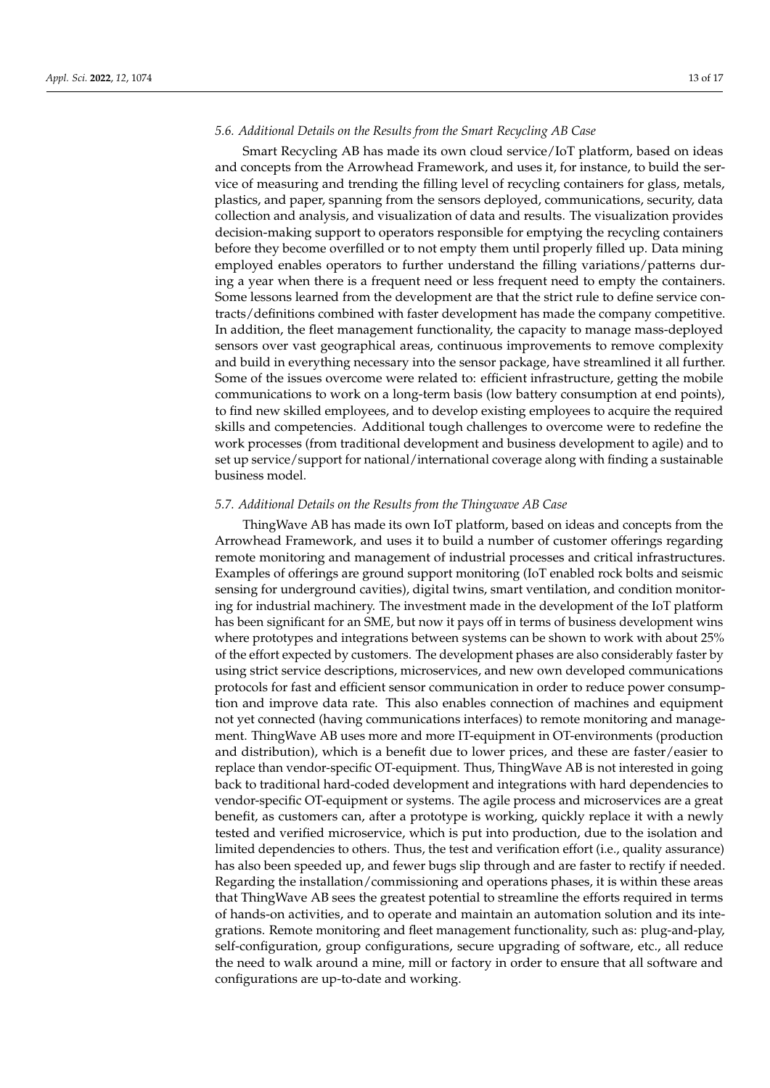#### *5.6. Additional Details on the Results from the Smart Recycling AB Case*

Smart Recycling AB has made its own cloud service/IoT platform, based on ideas and concepts from the Arrowhead Framework, and uses it, for instance, to build the service of measuring and trending the filling level of recycling containers for glass, metals, plastics, and paper, spanning from the sensors deployed, communications, security, data collection and analysis, and visualization of data and results. The visualization provides decision-making support to operators responsible for emptying the recycling containers before they become overfilled or to not empty them until properly filled up. Data mining employed enables operators to further understand the filling variations/patterns during a year when there is a frequent need or less frequent need to empty the containers. Some lessons learned from the development are that the strict rule to define service contracts/definitions combined with faster development has made the company competitive. In addition, the fleet management functionality, the capacity to manage mass-deployed sensors over vast geographical areas, continuous improvements to remove complexity and build in everything necessary into the sensor package, have streamlined it all further. Some of the issues overcome were related to: efficient infrastructure, getting the mobile communications to work on a long-term basis (low battery consumption at end points), to find new skilled employees, and to develop existing employees to acquire the required skills and competencies. Additional tough challenges to overcome were to redefine the work processes (from traditional development and business development to agile) and to set up service/support for national/international coverage along with finding a sustainable business model.

## *5.7. Additional Details on the Results from the Thingwave AB Case*

ThingWave AB has made its own IoT platform, based on ideas and concepts from the Arrowhead Framework, and uses it to build a number of customer offerings regarding remote monitoring and management of industrial processes and critical infrastructures. Examples of offerings are ground support monitoring (IoT enabled rock bolts and seismic sensing for underground cavities), digital twins, smart ventilation, and condition monitoring for industrial machinery. The investment made in the development of the IoT platform has been significant for an SME, but now it pays off in terms of business development wins where prototypes and integrations between systems can be shown to work with about 25% of the effort expected by customers. The development phases are also considerably faster by using strict service descriptions, microservices, and new own developed communications protocols for fast and efficient sensor communication in order to reduce power consumption and improve data rate. This also enables connection of machines and equipment not yet connected (having communications interfaces) to remote monitoring and management. ThingWave AB uses more and more IT-equipment in OT-environments (production and distribution), which is a benefit due to lower prices, and these are faster/easier to replace than vendor-specific OT-equipment. Thus, ThingWave AB is not interested in going back to traditional hard-coded development and integrations with hard dependencies to vendor-specific OT-equipment or systems. The agile process and microservices are a great benefit, as customers can, after a prototype is working, quickly replace it with a newly tested and verified microservice, which is put into production, due to the isolation and limited dependencies to others. Thus, the test and verification effort (i.e., quality assurance) has also been speeded up, and fewer bugs slip through and are faster to rectify if needed. Regarding the installation/commissioning and operations phases, it is within these areas that ThingWave AB sees the greatest potential to streamline the efforts required in terms of hands-on activities, and to operate and maintain an automation solution and its integrations. Remote monitoring and fleet management functionality, such as: plug-and-play, self-configuration, group configurations, secure upgrading of software, etc., all reduce the need to walk around a mine, mill or factory in order to ensure that all software and configurations are up-to-date and working.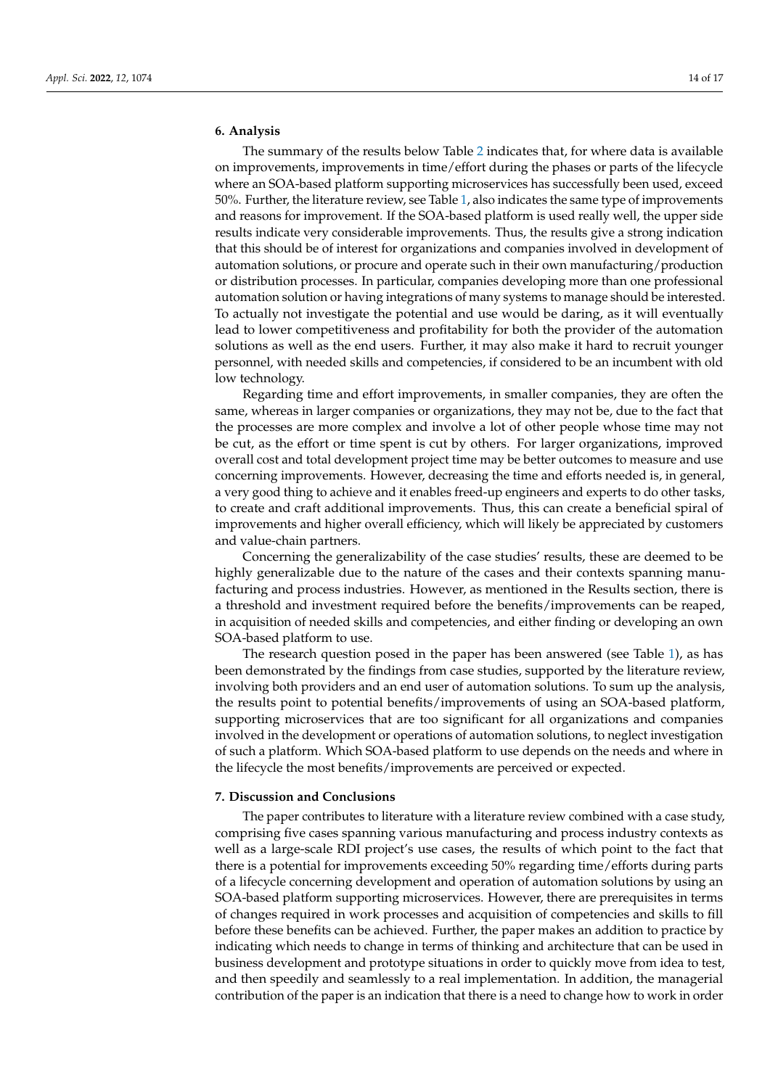## **6. Analysis**

The summary of the results below Table [2](#page-10-0) indicates that, for where data is available on improvements, improvements in time/effort during the phases or parts of the lifecycle where an SOA-based platform supporting microservices has successfully been used, exceed 50%. Further, the literature review, see Table [1,](#page-8-0) also indicates the same type of improvements and reasons for improvement. If the SOA-based platform is used really well, the upper side results indicate very considerable improvements. Thus, the results give a strong indication that this should be of interest for organizations and companies involved in development of automation solutions, or procure and operate such in their own manufacturing/production or distribution processes. In particular, companies developing more than one professional automation solution or having integrations of many systems to manage should be interested. To actually not investigate the potential and use would be daring, as it will eventually lead to lower competitiveness and profitability for both the provider of the automation solutions as well as the end users. Further, it may also make it hard to recruit younger personnel, with needed skills and competencies, if considered to be an incumbent with old low technology.

Regarding time and effort improvements, in smaller companies, they are often the same, whereas in larger companies or organizations, they may not be, due to the fact that the processes are more complex and involve a lot of other people whose time may not be cut, as the effort or time spent is cut by others. For larger organizations, improved overall cost and total development project time may be better outcomes to measure and use concerning improvements. However, decreasing the time and efforts needed is, in general, a very good thing to achieve and it enables freed-up engineers and experts to do other tasks, to create and craft additional improvements. Thus, this can create a beneficial spiral of improvements and higher overall efficiency, which will likely be appreciated by customers and value-chain partners.

Concerning the generalizability of the case studies' results, these are deemed to be highly generalizable due to the nature of the cases and their contexts spanning manufacturing and process industries. However, as mentioned in the Results section, there is a threshold and investment required before the benefits/improvements can be reaped, in acquisition of needed skills and competencies, and either finding or developing an own SOA-based platform to use.

The research question posed in the paper has been answered (see Table [1\)](#page-8-0), as has been demonstrated by the findings from case studies, supported by the literature review, involving both providers and an end user of automation solutions. To sum up the analysis, the results point to potential benefits/improvements of using an SOA-based platform, supporting microservices that are too significant for all organizations and companies involved in the development or operations of automation solutions, to neglect investigation of such a platform. Which SOA-based platform to use depends on the needs and where in the lifecycle the most benefits/improvements are perceived or expected.

### **7. Discussion and Conclusions**

The paper contributes to literature with a literature review combined with a case study, comprising five cases spanning various manufacturing and process industry contexts as well as a large-scale RDI project's use cases, the results of which point to the fact that there is a potential for improvements exceeding 50% regarding time/efforts during parts of a lifecycle concerning development and operation of automation solutions by using an SOA-based platform supporting microservices. However, there are prerequisites in terms of changes required in work processes and acquisition of competencies and skills to fill before these benefits can be achieved. Further, the paper makes an addition to practice by indicating which needs to change in terms of thinking and architecture that can be used in business development and prototype situations in order to quickly move from idea to test, and then speedily and seamlessly to a real implementation. In addition, the managerial contribution of the paper is an indication that there is a need to change how to work in order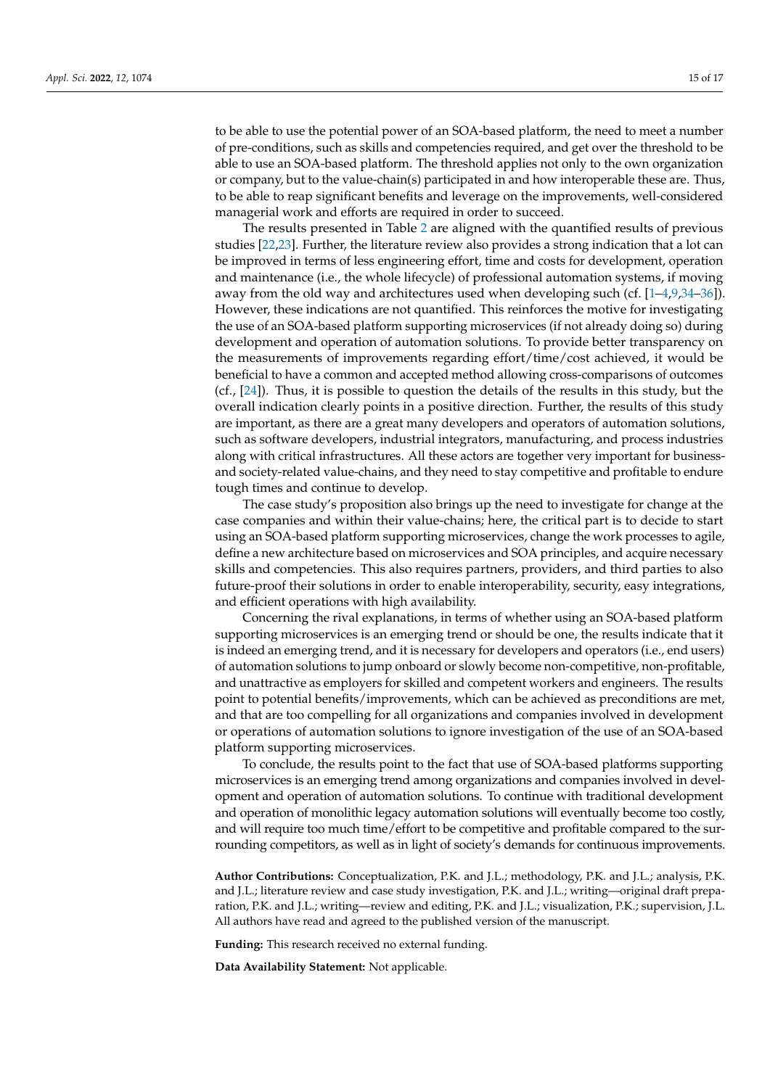to be able to use the potential power of an SOA-based platform, the need to meet a number of pre-conditions, such as skills and competencies required, and get over the threshold to be able to use an SOA-based platform. The threshold applies not only to the own organization or company, but to the value-chain(s) participated in and how interoperable these are. Thus, to be able to reap significant benefits and leverage on the improvements, well-considered managerial work and efforts are required in order to succeed.

The results presented in Table [2](#page-10-0) are aligned with the quantified results of previous studies [\[22](#page-15-17)[,23\]](#page-15-18). Further, the literature review also provides a strong indication that a lot can be improved in terms of less engineering effort, time and costs for development, operation and maintenance (i.e., the whole lifecycle) of professional automation systems, if moving away from the old way and architectures used when developing such (cf. [\[1–](#page-15-0)[4](#page-15-3)[,9](#page-15-4)[,34–](#page-16-9)[36\]](#page-16-11)). However, these indications are not quantified. This reinforces the motive for investigating the use of an SOA-based platform supporting microservices (if not already doing so) during development and operation of automation solutions. To provide better transparency on the measurements of improvements regarding effort/time/cost achieved, it would be beneficial to have a common and accepted method allowing cross-comparisons of outcomes (cf., [\[24\]](#page-15-19)). Thus, it is possible to question the details of the results in this study, but the overall indication clearly points in a positive direction. Further, the results of this study are important, as there are a great many developers and operators of automation solutions, such as software developers, industrial integrators, manufacturing, and process industries along with critical infrastructures. All these actors are together very important for businessand society-related value-chains, and they need to stay competitive and profitable to endure tough times and continue to develop.

The case study's proposition also brings up the need to investigate for change at the case companies and within their value-chains; here, the critical part is to decide to start using an SOA-based platform supporting microservices, change the work processes to agile, define a new architecture based on microservices and SOA principles, and acquire necessary skills and competencies. This also requires partners, providers, and third parties to also future-proof their solutions in order to enable interoperability, security, easy integrations, and efficient operations with high availability.

Concerning the rival explanations, in terms of whether using an SOA-based platform supporting microservices is an emerging trend or should be one, the results indicate that it is indeed an emerging trend, and it is necessary for developers and operators (i.e., end users) of automation solutions to jump onboard or slowly become non-competitive, non-profitable, and unattractive as employers for skilled and competent workers and engineers. The results point to potential benefits/improvements, which can be achieved as preconditions are met, and that are too compelling for all organizations and companies involved in development or operations of automation solutions to ignore investigation of the use of an SOA-based platform supporting microservices.

To conclude, the results point to the fact that use of SOA-based platforms supporting microservices is an emerging trend among organizations and companies involved in development and operation of automation solutions. To continue with traditional development and operation of monolithic legacy automation solutions will eventually become too costly, and will require too much time/effort to be competitive and profitable compared to the surrounding competitors, as well as in light of society's demands for continuous improvements.

**Author Contributions:** Conceptualization, P.K. and J.L.; methodology, P.K. and J.L.; analysis, P.K. and J.L.; literature review and case study investigation, P.K. and J.L.; writing—original draft preparation, P.K. and J.L.; writing—review and editing, P.K. and J.L.; visualization, P.K.; supervision, J.L. All authors have read and agreed to the published version of the manuscript.

**Funding:** This research received no external funding.

**Data Availability Statement:** Not applicable.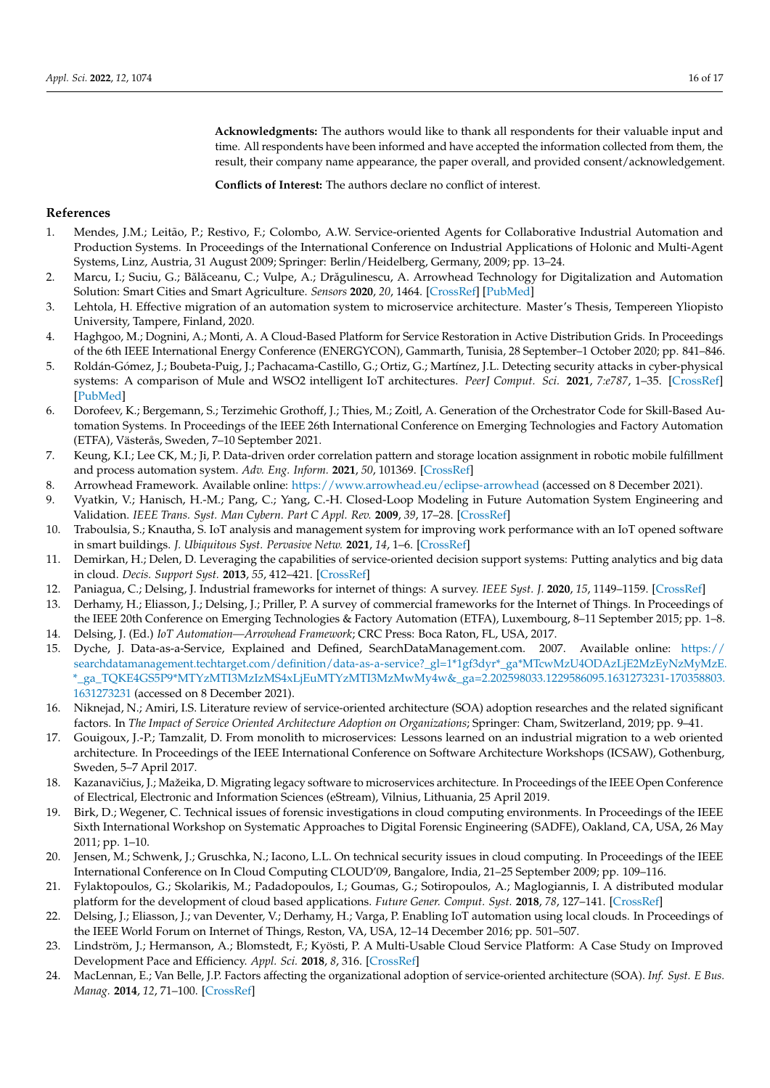**Acknowledgments:** The authors would like to thank all respondents for their valuable input and time. All respondents have been informed and have accepted the information collected from them, the result, their company name appearance, the paper overall, and provided consent/acknowledgement.

**Conflicts of Interest:** The authors declare no conflict of interest.

#### **References**

- <span id="page-15-0"></span>1. Mendes, J.M.; Leitão, P.; Restivo, F.; Colombo, A.W. Service-oriented Agents for Collaborative Industrial Automation and Production Systems. In Proceedings of the International Conference on Industrial Applications of Holonic and Multi-Agent Systems, Linz, Austria, 31 August 2009; Springer: Berlin/Heidelberg, Germany, 2009; pp. 13–24.
- <span id="page-15-20"></span>2. Marcu, I.; Suciu, G.; Bălăceanu, C.; Vulpe, A.; Drăgulinescu, A. Arrowhead Technology for Digitalization and Automation Solution: Smart Cities and Smart Agriculture. *Sensors* **2020**, *20*, 1464. [\[CrossRef\]](http://doi.org/10.3390/s20051464) [\[PubMed\]](http://www.ncbi.nlm.nih.gov/pubmed/32155934)
- <span id="page-15-2"></span>3. Lehtola, H. Effective migration of an automation system to microservice architecture. Master's Thesis, Tempereen Yliopisto University, Tampere, Finland, 2020.
- <span id="page-15-3"></span>4. Haghgoo, M.; Dognini, A.; Monti, A. A Cloud-Based Platform for Service Restoration in Active Distribution Grids. In Proceedings of the 6th IEEE International Energy Conference (ENERGYCON), Gammarth, Tunisia, 28 September–1 October 2020; pp. 841–846.
- <span id="page-15-21"></span>5. Roldán-Gómez, J.; Boubeta-Puig, J.; Pachacama-Castillo, G.; Ortiz, G.; Martínez, J.L. Detecting security attacks in cyber-physical systems: A comparison of Mule and WSO2 intelligent IoT architectures. *PeerJ Comput. Sci.* **2021**, *7:e787*, 1–35. [\[CrossRef\]](http://doi.org/10.7717/peerj-cs.787) [\[PubMed\]](http://www.ncbi.nlm.nih.gov/pubmed/34901434)
- <span id="page-15-22"></span>6. Dorofeev, K.; Bergemann, S.; Terzimehic Grothoff, J.; Thies, M.; Zoitl, A. Generation of the Orchestrator Code for Skill-Based Automation Systems. In Proceedings of the IEEE 26th International Conference on Emerging Technologies and Factory Automation (ETFA), Västerås, Sweden, 7–10 September 2021.
- <span id="page-15-23"></span>7. Keung, K.I.; Lee CK, M.; Ji, P. Data-driven order correlation pattern and storage location assignment in robotic mobile fulfillment and process automation system. *Adv. Eng. Inform.* **2021**, *50*, 101369. [\[CrossRef\]](http://doi.org/10.1016/j.aei.2021.101369)
- <span id="page-15-1"></span>8. Arrowhead Framework. Available online: <https://www.arrowhead.eu/eclipse-arrowhead> (accessed on 8 December 2021).
- <span id="page-15-4"></span>9. Vyatkin, V.; Hanisch, H.-M.; Pang, C.; Yang, C.-H. Closed-Loop Modeling in Future Automation System Engineering and Validation. *IEEE Trans. Syst. Man Cybern. Part C Appl. Rev.* **2009**, *39*, 17–28. [\[CrossRef\]](http://doi.org/10.1109/TSMCC.2008.2005785)
- <span id="page-15-5"></span>10. Traboulsia, S.; Knautha, S. IoT analysis and management system for improving work performance with an IoT opened software in smart buildings. *J. Ubiquitous Syst. Pervasive Netw.* **2021**, *14*, 1–6. [\[CrossRef\]](http://doi.org/10.5383/JUSPN.14.01.001)
- <span id="page-15-6"></span>11. Demirkan, H.; Delen, D. Leveraging the capabilities of service-oriented decision support systems: Putting analytics and big data in cloud. *Decis. Support Syst.* **2013**, *55*, 412–421. [\[CrossRef\]](http://doi.org/10.1016/j.dss.2012.05.048)
- <span id="page-15-7"></span>12. Paniagua, C.; Delsing, J. Industrial frameworks for internet of things: A survey. *IEEE Syst. J.* **2020**, *15*, 1149–1159. [\[CrossRef\]](http://doi.org/10.1109/JSYST.2020.2993323)
- <span id="page-15-8"></span>13. Derhamy, H.; Eliasson, J.; Delsing, J.; Priller, P. A survey of commercial frameworks for the Internet of Things. In Proceedings of the IEEE 20th Conference on Emerging Technologies & Factory Automation (ETFA), Luxembourg, 8–11 September 2015; pp. 1–8. 14. Delsing, J. (Ed.) *IoT Automation—Arrowhead Framework*; CRC Press: Boca Raton, FL, USA, 2017.
- <span id="page-15-10"></span><span id="page-15-9"></span>15. Dyche, J. Data-as-a-Service, Explained and Defined, SearchDataManagement.com. 2007. Available online: [https://](https://searchdatamanagement.techtarget.com/definition/data-as-a-service?_gl=1*1gf3dyr*_ga*MTcwMzU4ODAzLjE2MzEyNzMyMzE.*_ga_TQKE4GS5P9*MTYzMTI3MzIzMS4xLjEuMTYzMTI3MzMwMy4w&_ga=2.202598033.1229586095.1631273231-170358803.1631273231) [searchdatamanagement.techtarget.com/definition/data-as-a-service?\\_gl=1\\*1gf3dyr\\*\\_ga\\*MTcwMzU4ODAzLjE2MzEyNzMyMzE](https://searchdatamanagement.techtarget.com/definition/data-as-a-service?_gl=1*1gf3dyr*_ga*MTcwMzU4ODAzLjE2MzEyNzMyMzE.*_ga_TQKE4GS5P9*MTYzMTI3MzIzMS4xLjEuMTYzMTI3MzMwMy4w&_ga=2.202598033.1229586095.1631273231-170358803.1631273231). [\\*\\_ga\\_TQKE4GS5P9\\*MTYzMTI3MzIzMS4xLjEuMTYzMTI3MzMwMy4w&\\_ga=2.202598033.1229586095.1631273231-170358803.](https://searchdatamanagement.techtarget.com/definition/data-as-a-service?_gl=1*1gf3dyr*_ga*MTcwMzU4ODAzLjE2MzEyNzMyMzE.*_ga_TQKE4GS5P9*MTYzMTI3MzIzMS4xLjEuMTYzMTI3MzMwMy4w&_ga=2.202598033.1229586095.1631273231-170358803.1631273231) [1631273231](https://searchdatamanagement.techtarget.com/definition/data-as-a-service?_gl=1*1gf3dyr*_ga*MTcwMzU4ODAzLjE2MzEyNzMyMzE.*_ga_TQKE4GS5P9*MTYzMTI3MzIzMS4xLjEuMTYzMTI3MzMwMy4w&_ga=2.202598033.1229586095.1631273231-170358803.1631273231) (accessed on 8 December 2021).
- <span id="page-15-11"></span>16. Niknejad, N.; Amiri, I.S. Literature review of service-oriented architecture (SOA) adoption researches and the related significant factors. In *The Impact of Service Oriented Architecture Adoption on Organizations*; Springer: Cham, Switzerland, 2019; pp. 9–41.
- <span id="page-15-12"></span>17. Gouigoux, J.-P.; Tamzalit, D. From monolith to microservices: Lessons learned on an industrial migration to a web oriented architecture. In Proceedings of the IEEE International Conference on Software Architecture Workshops (ICSAW), Gothenburg, Sweden, 5–7 April 2017.
- <span id="page-15-13"></span>18. Kazanavičius, J.; Mažeika, D. Migrating legacy software to microservices architecture. In Proceedings of the IEEE Open Conference of Electrical, Electronic and Information Sciences (eStream), Vilnius, Lithuania, 25 April 2019.
- <span id="page-15-14"></span>19. Birk, D.; Wegener, C. Technical issues of forensic investigations in cloud computing environments. In Proceedings of the IEEE Sixth International Workshop on Systematic Approaches to Digital Forensic Engineering (SADFE), Oakland, CA, USA, 26 May 2011; pp. 1–10.
- <span id="page-15-15"></span>20. Jensen, M.; Schwenk, J.; Gruschka, N.; Iacono, L.L. On technical security issues in cloud computing. In Proceedings of the IEEE International Conference on In Cloud Computing CLOUD'09, Bangalore, India, 21–25 September 2009; pp. 109–116.
- <span id="page-15-16"></span>21. Fylaktopoulos, G.; Skolarikis, M.; Padadopoulos, I.; Goumas, G.; Sotiropoulos, A.; Maglogiannis, I. A distributed modular platform for the development of cloud based applications. *Future Gener. Comput. Syst.* **2018**, *78*, 127–141. [\[CrossRef\]](http://doi.org/10.1016/j.future.2017.02.035)
- <span id="page-15-17"></span>22. Delsing, J.; Eliasson, J.; van Deventer, V.; Derhamy, H.; Varga, P. Enabling IoT automation using local clouds. In Proceedings of the IEEE World Forum on Internet of Things, Reston, VA, USA, 12–14 December 2016; pp. 501–507.
- <span id="page-15-18"></span>23. Lindström, J.; Hermanson, A.; Blomstedt, F.; Kyösti, P. A Multi-Usable Cloud Service Platform: A Case Study on Improved Development Pace and Efficiency. *Appl. Sci.* **2018**, *8*, 316. [\[CrossRef\]](http://doi.org/10.3390/app8020316)
- <span id="page-15-19"></span>24. MacLennan, E.; Van Belle, J.P. Factors affecting the organizational adoption of service-oriented architecture (SOA). *Inf. Syst. E Bus. Manag.* **2014**, *12*, 71–100. [\[CrossRef\]](http://doi.org/10.1007/s10257-012-0212-x)